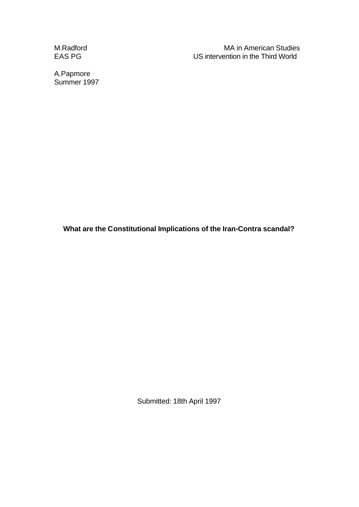M.Radford M.Radford MA in American Studies EAS PG US intervention in the Third World

A.Papmore Summer 1997

**What are the Constitutional Implications of the Iran-Contra scandal?**

Submitted: 18th April 1997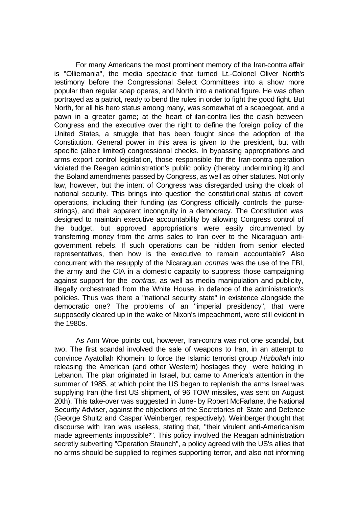For many Americans the most prominent memory of the Iran-contra affair is "Olliemania", the media spectacle that turned Lt.-Colonel Oliver North's testimony before the Congressional Select Committees into a show more popular than regular soap operas, and North into a national figure. He was often portrayed as a patriot, ready to bend the rules in order to fight the good fight. But North, for all his hero status among many, was somewhat of a scapegoat, and a pawn in a greater game; at the heart of ran-contra lies the clash between Congress and the executive over the right to define the foreign policy of the United States, a struggle that has been fought since the adoption of the Constitution. General power in this area is given to the president, but with specific (albeit limited) congressional checks. In bypassing appropriations and arms export control legislation, those responsible for the Iran-contra operation violated the Reagan administration's public policy (thereby undermining it) and the Boland amendments passed by Congress, as well as other statutes. Not only law, however, but the intent of Congress was disregarded using the cloak of national security. This brings into question the constitutional status of covert operations, including their funding (as Congress officially controls the pursestrings), and their apparent incongruity in a democracy. The Constitution was designed to maintain executive accountability by allowing Congress control of the budget, but approved appropriations were easily circumvented by transferring money from the arms sales to Iran over to the Nicaraguan antigovernment rebels. If such operations can be hidden from senior elected representatives, then how is the executive to remain accountable? Also concurrent with the resupply of the Nicaraguan *contras* was the use of the FBI, the army and the CIA in a domestic capacity to suppress those campaigning against support for the *contras*, as well as media manipulation and publicity, illegally orchestrated from the White House, in defence of the administration's policies. Thus was there a "national security state" in existence alongside the democratic one? The problems of an "imperial presidency", that were supposedly cleared up in the wake of Nixon's impeachment, were still evident in the 1980s.

As Ann Wroe points out, however, Iran-contra was not one scandal, but two. The first scandal involved the sale of weapons to Iran, in an attempt to convince Ayatollah Khomeini to force the Islamic terrorist group *Hizbollah* into releasing the American (and other Western) hostages they were holding in Lebanon. The plan originated in Israel, but came to America's attention in the summer of 1985, at which point the US began to replenish the arms Israel was supplying Iran (the first US shipment, of 96 TOW missiles, was sent on August 20th). This take-over was suggested in June<sup>1</sup> by Robert McFarlane, the National Security Adviser, against the objections of the Secretaries of State and Defence (George Shultz and Caspar Weinberger, respectively). Weinberger thought that discourse with Iran was useless, stating that, "their virulent anti-Americanism made agreements impossible<sup>2"</sup>. This policy involved the Reagan administration secretly subverting "Operation Staunch", a policy agreed with the US's allies that no arms should be supplied to regimes supporting terror, and also not informing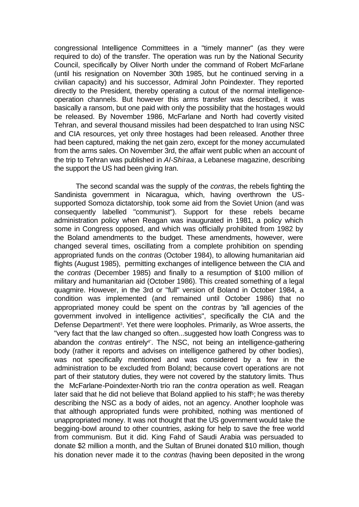congressional Intelligence Committees in a "timely manner" (as they were required to do) of the transfer. The operation was run by the National Security Council, specifically by Oliver North under the command of Robert McFarlane (until his resignation on November 30th 1985, but he continued serving in a civilian capacity) and his successor, Admiral John Poindexter. They reported directly to the President, thereby operating a cutout of the normal intelligenceoperation channels. But however this arms transfer was described, it was basically a ransom, but one paid with only the possibility that the hostages would be released. By November 1986, McFarlane and North had covertly visited Tehran, and several thousand missiles had been despatched to Iran using NSC and CIA resources, yet only three hostages had been released. Another three had been captured, making the net gain zero, except for the money accumulated from the arms sales. On November 3rd, the affair went public when an account of the trip to Tehran was published in *Al-Shiraa*, a Lebanese magazine, describing the support the US had been giving Iran.

The second scandal was the supply of the *contras*, the rebels fighting the Sandinista government in Nicaragua, which, having overthrown the USsupported Somoza dictatorship, took some aid from the Soviet Union (and was consequently labelled "communist"). Support for these rebels became administration policy when Reagan was inaugurated in 1981, a policy which some in Congress opposed, and which was officially prohibited from 1982 by the Boland amendments to the budget. These amendments, however, were changed several times, oscillating from a complete prohibition on spending appropriated funds on the *contras* (October 1984), to allowing humanitarian aid flights (August 1985), permitting exchanges of intelligence between the CIA and the *contras* (December 1985) and finally to a resumption of \$100 million of military and humanitarian aid (October 1986). This created something of a legal quagmire. However, in the 3rd or "full" version of Boland in October 1984, a condition was implemented (and remained until October 1986) that no appropriated money could be spent on the *contras* by "all agencies of the government involved in intelligence activities", specifically the CIA and the Defense Department<sup>3</sup>. Yet there were loopholes. Primarily, as Wroe asserts, the "very fact that the law changed so often...suggested how loath Congress was to abandon the *contras* entirely<sup>4</sup>". The NSC, not being an intelligence-gathering body (rather it reports and advises on intelligence gathered by other bodies), was not specifically mentioned and was considered by a few in the administration to be excluded from Boland; because covert operations are not part of their statutory duties, they were not covered by the statutory limits. Thus the McFarlane-Poindexter-North trio ran the *contra* operation as well. Reagan later said that he did not believe that Boland applied to his staff<sup>5</sup>; he was thereby describing the NSC as a body of aides, not an agency. Another loophole was that although appropriated funds were prohibited, nothing was mentioned of unappropriated money. It was not thought that the US government would take the begging-bowl around to other countries, asking for help to save the free world from communism. But it did. King Fahd of Saudi Arabia was persuaded to donate \$2 million a month, and the Sultan of Brunei donated \$10 million, though his donation never made it to the *contras* (having been deposited in the wrong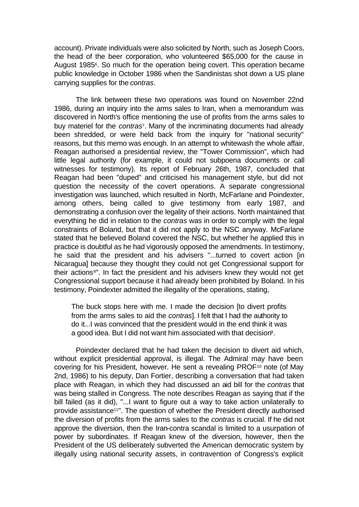account). Private individuals were also solicited by North, such as Joseph Coors, the head of the beer corporation, who volunteered \$65,000 for the cause in August 1985<sup>6</sup>. So much for the operation being covert. This operation became public knowledge in October 1986 when the Sandinistas shot down a US plane carrying supplies for the *contras*.

The link between these two operations was found on November 22nd 1986, during an inquiry into the arms sales to Iran, when a memorandum was discovered in North's office mentioning the use of profits from the arms sales to buy materiel for the *contras*<sup>7</sup> . Many of the incriminating documents had already been shredded, or were held back from the inquiry for "national security" reasons, but this memo was enough. In an attempt to whitewash the whole affair, Reagan authorised a presidential review, the "Tower Commission", which had little legal authority (for example, it could not subpoena documents or call witnesses for testimony). Its report of February 26th, 1987, concluded that Reagan had been "duped" and criticised his management style, but did not question the necessity of the covert operations. A separate congressional investigation was launched, which resulted in North, McFarlane and Poindexter, among others, being called to give testimony from early 1987, and demonstrating a confusion over the legality of their actions. North maintained that everything he did in relation to the *contras* was in order to comply with the legal constraints of Boland, but that it did not apply to the NSC anyway. McFarlane stated that he believed Boland covered the NSC, but whether he applied this in practice is doubtful as he had vigorously opposed the amendments. In testimony, he said that the president and his advisers "...turned to covert action [in Nicaragua] because they thought they could not get Congressional support for their actions8". In fact the president and his advisers knew they would not get Congressional support because it had already been prohibited by Boland. In his testimony, Poindexter admitted the illegality of the operations, stating,

The buck stops here with me. I made the decision [to divert profits from the arms sales to aid the *contras*]. I felt that I had the authority to do it...I was convinced that the president would in the end think it was a good idea. But I did not want him associated with that decision<sup>9</sup> .

Poindexter declared that he had taken the decision to divert aid which, without explicit presidential approval, is illegal. The Admiral may have been covering for his President, however. He sent a revealing PROF10 note (of May 2nd, 1986) to his deputy, Dan Fortier, describing a conversation that had taken place with Reagan, in which they had discussed an aid bill for the *contras* that was being stalled in Congress. The note describes Reagan as saying that if the bill failed (as it did), "...I want to figure out a way to take action unilaterally to provide assistance11". The question of whether the President directly authorised the diversion of profits from the arms sales to the *contras* is crucial. If he did not approve the diversion, then the Iran-contra scandal is limited to a usurpation of power by subordinates. If Reagan knew of the diversion, however, then the President of the US deliberately subverted the American democratic system by illegally using national security assets, in contravention of Congress's explicit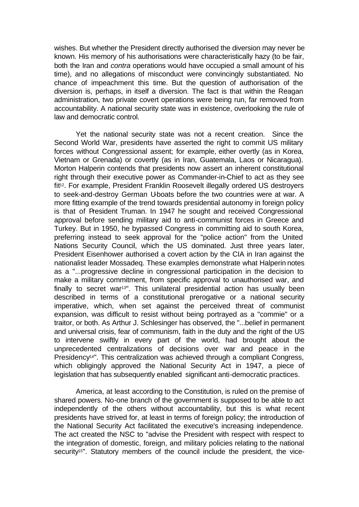wishes. But whether the President directly authorised the diversion may never be known. His memory of his authorisations were characteristically hazy (to be fair, both the Iran and *contra* operations would have occupied a small amount of his time), and no allegations of misconduct were convincingly substantiated. No chance of impeachment this time. But the question of authorisation of the diversion is, perhaps, in itself a diversion. The fact is that within the Reagan administration, two private covert operations were being run, far removed from accountability. A national security state was in existence, overlooking the rule of law and democratic control.

Yet the national security state was not a recent creation. Since the Second World War, presidents have asserted the right to commit US military forces without Congressional assent; for example, either overtly (as in Korea, Vietnam or Grenada) or covertly (as in Iran, Guatemala, Laos or Nicaragua). Morton Halperin contends that presidents now assert an inherent constitutional right through their executive power as Commander-in-Chief to act as they see fit<sup>12</sup>. For example, President Franklin Roosevelt illegally ordered US destroyers to seek-and-destroy German U-boats before the two countries were at war. A more fitting example of the trend towards presidential autonomy in foreign policy is that of President Truman. In 1947 he sought and received Congressional approval before sending military aid to anti-communist forces in Greece and Turkey. But in 1950, he bypassed Congress in committing aid to south Korea, preferring instead to seek approval for the "police action" from the United Nations Security Council, which the US dominated. Just three years later, President Eisenhower authorised a covert action by the CIA in Iran against the nationalist leader Mossadeq. These examples demonstrate what Halperin notes as a "...progressive decline in congressional participation in the decision to make a military commitment, from specific approval to unauthorised war, and finally to secret war<sup>13"</sup>. This unilateral presidential action has usually been described in terms of a constitutional prerogative or a national security imperative, which, when set against the perceived threat of communist expansion, was difficult to resist without being portrayed as a "commie" or a traitor, or both. As Arthur J. Schlesinger has observed, the "...belief in permanent and universal crisis, fear of communism, faith in the duty and the right of the US to intervene swiftly in every part of the world, had brought about the unprecedented centralizations of decisions over war and peace in the Presidency<sup>14"</sup>. This centralization was achieved through a compliant Congress, which obligingly approved the National Security Act in 1947, a piece of legislation that has subsequently enabled significant anti-democratic practices.

America, at least according to the Constitution, is ruled on the premise of shared powers. No-one branch of the government is supposed to be able to act independently of the others without accountability, but this is what recent presidents have strived for, at least in terms of foreign policy; the introduction of the National Security Act facilitated the executive's increasing independence. The act created the NSC to "advise the President with respect with respect to the integration of domestic, foreign, and military policies relating to the national security<sup>15"</sup>. Statutory members of the council include the president, the vice-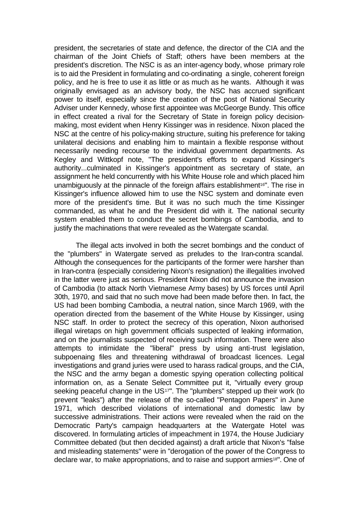president, the secretaries of state and defence, the director of the CIA and the chairman of the Joint Chiefs of Staff; others have been members at the president's discretion. The NSC is as an inter-agency body, whose primary role is to aid the President in formulating and co-ordinating a single, coherent foreign policy, and he is free to use it as little or as much as he wants. Although it was originally envisaged as an advisory body, the NSC has accrued significant power to itself, especially since the creation of the post of National Security Adviser under Kennedy, whose first appointee was McGeorge Bundy. This office in effect created a rival for the Secretary of State in foreign policy decisionmaking, most evident when Henry Kissinger was in residence. Nixon placed the NSC at the centre of his policy-making structure, suiting his preference for taking unilateral decisions and enabling him to maintain a flexible response without necessarily needing recourse to the individual government departments. As Kegley and Wittkopf note, "The president's efforts to expand Kissinger's authority...culminated in Kissinger's appointment as secretary of state, an assignment he held concurrently with his White House role and which placed him unambiguously at the pinnacle of the foreign affairs establishment<sup>16"</sup>. The rise in Kissinger's influence allowed him to use the NSC system and dominate even more of the president's time. But it was no such much the time Kissinger commanded, as what he and the President did with it. The national security system enabled them to conduct the secret bombings of Cambodia, and to justify the machinations that were revealed as the Watergate scandal.

The illegal acts involved in both the secret bombings and the conduct of the "plumbers" in Watergate served as preludes to the Iran-contra scandal. Although the consequences for the participants of the former were harsher than in Iran-contra (especially considering Nixon's resignation) the illegalities involved in the latter were just as serious. President Nixon did not announce the invasion of Cambodia (to attack North Vietnamese Army bases) by US forces until April 30th, 1970, and said that no such move had been made before then. In fact, the US had been bombing Cambodia, a neutral nation, since March 1969, with the operation directed from the basement of the White House by Kissinger, using NSC staff. In order to protect the secrecy of this operation, Nixon authorised illegal wiretaps on high government officials suspected of leaking information, and on the journalists suspected of receiving such information. There were also attempts to intimidate the "liberal" press by using anti-trust legislation, subpoenaing files and threatening withdrawal of broadcast licences. Legal investigations and grand juries were used to harass radical groups, and the CIA, the NSC and the army began a domestic spying operation collecting political information on, as a Senate Select Committee put it, "virtually every group seeking peaceful change in the US<sup>17"</sup>. The "plumbers" stepped up their work (to prevent "leaks") after the release of the so-called "Pentagon Papers" in June 1971, which described violations of international and domestic law by successive administrations. Their actions were revealed when the raid on the Democratic Party's campaign headquarters at the Watergate Hotel was discovered. In formulating articles of impeachment in 1974, the House Judiciary Committee debated (but then decided against) a draft article that Nixon's "false and misleading statements" were in "derogation of the power of the Congress to declare war, to make appropriations, and to raise and support armies18". One of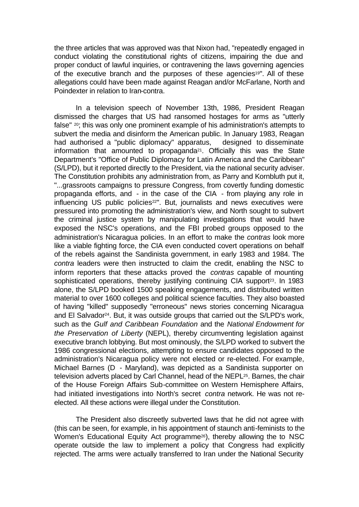the three articles that was approved was that Nixon had, "repeatedly engaged in conduct violating the constitutional rights of citizens, impairing the due and proper conduct of lawful inquiries, or contravening the laws governing agencies of the executive branch and the purposes of these agencies<sup>19"</sup>. All of these allegations could have been made against Reagan and/or McFarlane, North and Poindexter in relation to Iran-contra.

In a television speech of November 13th, 1986, President Reagan dismissed the charges that US had ransomed hostages for arms as "utterly false" 20; this was only one prominent example of his administration's attempts to subvert the media and disinform the American public. In January 1983, Reagan had authorised a "public diplomacy" apparatus, designed to disseminate information that amounted to propaganda21. Officially this was the State Department's "Office of Public Diplomacy for Latin America and the Caribbean" (S/LPD), but it reported directly to the President, via the national security adviser. The Constitution prohibits any administration from, as Parry and Kornbluth put it, "...grassroots campaigns to pressure Congress, from covertly funding domestic propaganda efforts, and - in the case of the CIA - from playing any role in influencing US public policies<sup>22"</sup>. But, journalists and news executives were pressured into promoting the administration's view, and North sought to subvert the criminal justice system by manipulating investigations that would have exposed the NSC's operations, and the FBI probed groups opposed to the administration's Nicaragua policies. In an effort to make the *contras* look more like a viable fighting force, the CIA even conducted covert operations on behalf of the rebels against the Sandinista government, in early 1983 and 1984. The *contra* leaders were then instructed to claim the credit, enabling the NSC to inform reporters that these attacks proved the *contras* capable of mounting sophisticated operations, thereby justifying continuing CIA support<sup>23</sup>. In 1983 alone, the S/LPD booked 1500 speaking engagements, and distributed written material to over 1600 colleges and political science faculties. They also boasted of having "killed" supposedly "erroneous" news stories concerning Nicaragua and El Salvador<sup>24</sup>. But, it was outside groups that carried out the S/LPD's work, such as the *Gulf and Caribbean Foundation* and the *National Endowment for the Preservation of Liberty* (NEPL), thereby circumventing legislation against executive branch lobbying. But most ominously, the S/LPD worked to subvert the 1986 congressional elections, attempting to ensure candidates opposed to the administration's Nicaragua policy were not elected or re-elected. For example, Michael Barnes (D - Maryland), was depicted as a Sandinista supporter on television adverts placed by Carl Channel, head of the NEPL25. Barnes, the chair of the House Foreign Affairs Sub-committee on Western Hemisphere Affairs, had initiated investigations into North's secret *contra* network. He was not reelected. All these actions were illegal under the Constitution.

The President also discreetly subverted laws that he did not agree with (this can be seen, for example, in his appointment of staunch anti-feminists to the Women's Educational Equity Act programme<sup>26</sup>), thereby allowing the to NSC operate outside the law to implement a policy that Congress had explicitly rejected. The arms were actually transferred to Iran under the National Security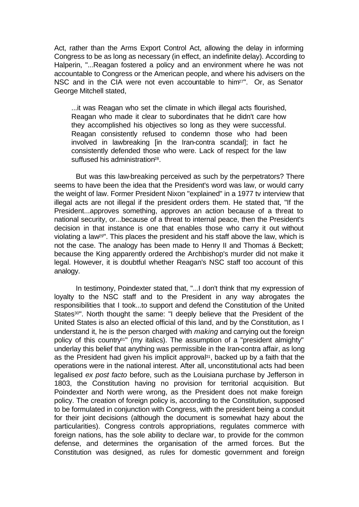Act, rather than the Arms Export Control Act, allowing the delay in informing Congress to be as long as necessary (in effect, an indefinite delay). According to Halperin, "...Reagan fostered a policy and an environment where he was not accountable to Congress or the American people, and where his advisers on the NSC and in the CIA were not even accountable to him<sup>27"</sup>. Or, as Senator George Mitchell stated,

...it was Reagan who set the climate in which illegal acts flourished, Reagan who made it clear to subordinates that he didn't care how they accomplished his objectives so long as they were successful. Reagan consistently refused to condemn those who had been involved in lawbreaking [in the Iran-contra scandal]; in fact he consistently defended those who were. Lack of respect for the law suffused his administration<sup>28</sup>.

But was this law-breaking perceived as such by the perpetrators? There seems to have been the idea that the President's word was law, or would carry the weight of law. Former President Nixon "explained" in a 1977 tv interview that illegal acts are not illegal if the president orders them. He stated that, "If the President...approves something, approves an action because of a threat to national security, or...because of a threat to internal peace, then the President's decision in that instance is one that enables those who carry it out without violating a law29". This places the president and his staff above the law, which is not the case. The analogy has been made to Henry II and Thomas á Beckett; because the King apparently ordered the Archbishop's murder did not make it legal. However, it is doubtful whether Reagan's NSC staff too account of this analogy.

In testimony, Poindexter stated that, "...I don't think that my expression of loyalty to the NSC staff and to the President in any way abrogates the responsibilities that I took...to support and defend the Constitution of the United States<sup>30"</sup>. North thought the same: "I deeply believe that the President of the United States is also an elected official of this land, and by the Constitution, as I understand it, he is the person charged with *making* and carrying out the foreign policy of this country<sup>31"</sup> (my italics). The assumption of a "president almighty" underlay this belief that anything was permissible in the Iran-contra affair, as long as the President had given his implicit approval<sup>31</sup>, backed up by a faith that the operations were in the national interest. After all, unconstitutional acts had been legalised *ex post facto* before, such as the Louisiana purchase by Jefferson in 1803, the Constitution having no provision for territorial acquisition. But Poindexter and North were wrong, as the President does not make foreign policy. The creation of foreign policy is, according to the Constitution, supposed to be formulated in conjunction with Congress, with the president being a conduit for their joint decisions (although the document is somewhat hazy about the particularities). Congress controls appropriations, regulates commerce with foreign nations, has the sole ability to declare war, to provide for the common defense, and determines the organisation of the armed forces. But the Constitution was designed, as rules for domestic government and foreign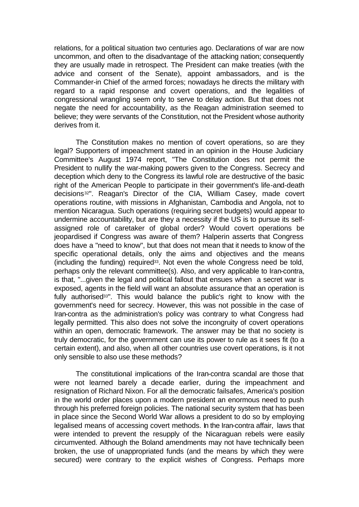relations, for a political situation two centuries ago. Declarations of war are now uncommon, and often to the disadvantage of the attacking nation; consequently they are usually made in retrospect. The President can make treaties (with the advice and consent of the Senate), appoint ambassadors, and is the Commander-in Chief of the armed forces; nowadays he directs the military with regard to a rapid response and covert operations, and the legalities of congressional wrangling seem only to serve to delay action. But that does not negate the need for accountability, as the Reagan administration seemed to believe; they were servants of the Constitution, not the President whose authority derives from it.

The Constitution makes no mention of covert operations, so are they legal? Supporters of impeachment stated in an opinion in the House Judiciary Committee's August 1974 report, "The Constitution does not permit the President to nullify the war-making powers given to the Congress. Secrecy and deception which deny to the Congress its lawful role are destructive of the basic right of the American People to participate in their government's life-and-death decisions<sup>32"</sup>. Reagan's Director of the CIA, William Casey, made covert operations routine, with missions in Afghanistan, Cambodia and Angola, not to mention Nicaragua. Such operations (requiring secret budgets) would appear to undermine accountability, but are they a necessity if the US is to pursue its selfassigned role of caretaker of global order? Would covert operations be jeopardised if Congress was aware of them? Halperin asserts that Congress does have a "need to know", but that does not mean that it needs to know of the specific operational details, only the aims and objectives and the means (including the funding) required33. Not even the whole Congress need be told, perhaps only the relevant committee(s). Also, and very applicable to Iran-contra, is that, "...given the legal and political fallout that ensues when a secret war is exposed, agents in the field will want an absolute assurance that an operation is fully authorised<sup>33"</sup>. This would balance the public's right to know with the government's need for secrecy. However, this was not possible in the case of Iran-contra as the administration's policy was contrary to what Congress had legally permitted. This also does not solve the incongruity of covert operations within an open, democratic framework. The answer may be that no society is truly democratic, for the government can use its power to rule as it sees fit (to a certain extent), and also, when all other countries use covert operations, is it not only sensible to also use these methods?

The constitutional implications of the Iran-contra scandal are those that were not learned barely a decade earlier, during the impeachment and resignation of Richard Nixon. For all the democratic failsafes, America's position in the world order places upon a modern president an enormous need to push through his preferred foreign policies. The national security system that has been in place since the Second World War allows a president to do so by employing legalised means of accessing covert methods. In the Iran-contra affair, laws that were intended to prevent the resupply of the Nicaraguan rebels were easily circumvented. Although the Boland amendments may not have technically been broken, the use of unappropriated funds (and the means by which they were secured) were contrary to the explicit wishes of Congress. Perhaps more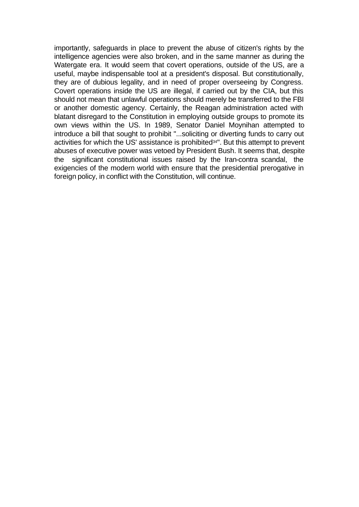importantly, safeguards in place to prevent the abuse of citizen's rights by the intelligence agencies were also broken, and in the same manner as during the Watergate era. It would seem that covert operations, outside of the US, are a useful, maybe indispensable tool at a president's disposal. But constitutionally, they are of dubious legality, and in need of proper overseeing by Congress. Covert operations inside the US are illegal, if carried out by the CIA, but this should not mean that unlawful operations should merely be transferred to the FBI or another domestic agency. Certainly, the Reagan administration acted with blatant disregard to the Constitution in employing outside groups to promote its own views within the US. In 1989, Senator Daniel Moynihan attempted to introduce a bill that sought to prohibit "...soliciting or diverting funds to carry out activities for which the US' assistance is prohibited34". But this attempt to prevent abuses of executive power was vetoed by President Bush. It seems that, despite the significant constitutional issues raised by the Iran-contra scandal, the exigencies of the modern world with ensure that the presidential prerogative in foreign policy, in conflict with the Constitution, will continue.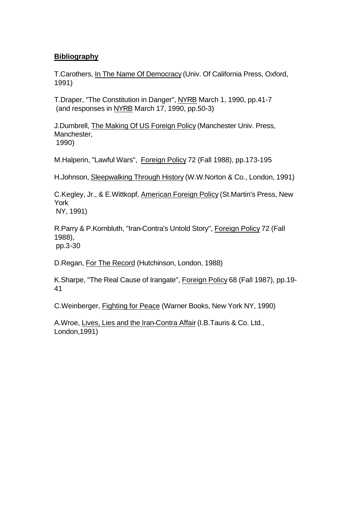## **Bibliography**

T.Carothers, In The Name Of Democracy (Univ. Of California Press, Oxford, 1991)

T.Draper, "The Constitution in Danger", NYRB March 1, 1990, pp.41-7 (and responses in NYRB March 17, 1990, pp.50-3)

J.Dumbrell, The Making Of US Foreign Policy (Manchester Univ. Press, Manchester, 1990)

M.Halperin, "Lawful Wars", Foreign Policy 72 (Fall 1988), pp.173-195

H.Johnson, Sleepwalking Through History (W.W.Norton & Co., London, 1991)

C.Kegley, Jr., & E.Wittkopf, American Foreign Policy (St.Martin's Press, New York

NY, 1991)

R.Parry & P.Kornbluth, "Iran-Contra's Untold Story", Foreign Policy 72 (Fall 1988), pp.3-30

D.Regan, For The Record (Hutchinson, London, 1988)

K.Sharpe, "The Real Cause of Irangate", Foreign Policy 68 (Fall 1987), pp.19- 41

C.Weinberger, Fighting for Peace (Warner Books, New York NY, 1990)

A.Wroe, Lives, Lies and the Iran-Contra Affair (I.B.Tauris & Co. Ltd., London,1991)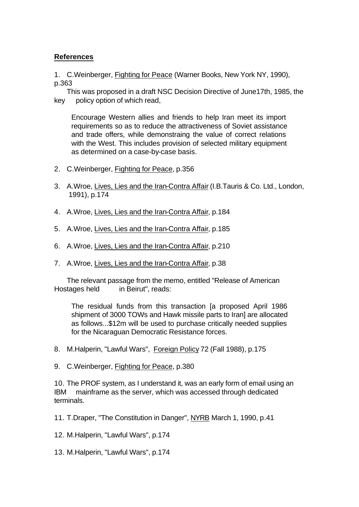## **References**

1. C.Weinberger, Fighting for Peace (Warner Books, New York NY, 1990), p.363

This was proposed in a draft NSC Decision Directive of June17th, 1985, the key policy option of which read,

Encourage Western allies and friends to help Iran meet its import requirements so as to reduce the attractiveness of Soviet assistance and trade offers, while demonstraing the value of correct relations with the West. This includes provision of selected military equipment as determined on a case-by-case basis.

- 2. C.Weinberger, Fighting for Peace, p.356
- 3. A.Wroe, Lives, Lies and the Iran-Contra Affair (I.B.Tauris & Co. Ltd., London, 1991), p.174
- 4. A.Wroe, Lives, Lies and the Iran-Contra Affair, p.184
- 5. A.Wroe, Lives, Lies and the Iran-Contra Affair, p.185
- 6. A.Wroe, Lives, Lies and the Iran-Contra Affair, p.210
- 7. A.Wroe, Lives, Lies and the Iran-Contra Affair, p.38

The relevant passage from the memo, entitled "Release of American Hostages held in Beirut", reads:

The residual funds from this transaction [a proposed April 1986 shipment of 3000 TOWs and Hawk missile parts to Iran] are allocated as follows...\$12m will be used to purchase critically needed supplies for the Nicaraguan Democratic Resistance forces.

- 8. M.Halperin, "Lawful Wars", Foreign Policy 72 (Fall 1988), p.175
- 9. C.Weinberger, Fighting for Peace, p.380

10. The PROF system, as I understand it, was an early form of email using an IBM mainframe as the server, which was accessed through dedicated terminals.

11. T.Draper, "The Constitution in Danger", NYRB March 1, 1990, p.41

- 12. M.Halperin, "Lawful Wars", p.174
- 13. M.Halperin, "Lawful Wars", p.174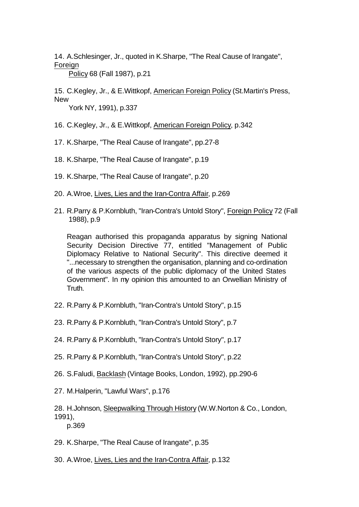14. A.Schlesinger, Jr., quoted in K.Sharpe, "The Real Cause of Irangate", Foreign

Policy 68 (Fall 1987), p.21

15. C.Kegley, Jr., & E.Wittkopf, American Foreign Policy (St.Martin's Press, **New** 

York NY, 1991), p.337

- 16. C.Kegley, Jr., & E.Wittkopf, American Foreign Policy, p.342
- 17. K.Sharpe, "The Real Cause of Irangate", pp.27-8
- 18. K.Sharpe, "The Real Cause of Irangate", p.19
- 19. K.Sharpe, "The Real Cause of Irangate", p.20
- 20. A.Wroe, Lives, Lies and the Iran-Contra Affair, p.269
- 21. R.Parry & P.Kornbluth, "Iran-Contra's Untold Story", Foreign Policy 72 (Fall 1988), p.9

Reagan authorised this propaganda apparatus by signing National Security Decision Directive 77, entitled "Management of Public Diplomacy Relative to National Security". This directive deemed it "...necessary to strengthen the organisation, planning and co-ordination of the various aspects of the public diplomacy of the United States Government". In my opinion this amounted to an Orwellian Ministry of Truth.

- 22. R.Parry & P.Kornbluth, "Iran-Contra's Untold Story", p.15
- 23. R.Parry & P.Kornbluth, "Iran-Contra's Untold Story", p.7
- 24. R.Parry & P.Kornbluth, "Iran-Contra's Untold Story", p.17
- 25. R.Parry & P.Kornbluth, "Iran-Contra's Untold Story", p.22
- 26. S.Faludi, Backlash (Vintage Books, London, 1992), pp.290-6
- 27. M.Halperin, "Lawful Wars", p.176

- 29. K.Sharpe, "The Real Cause of Irangate", p.35
- 30. A.Wroe, Lives, Lies and the Iran-Contra Affair, p.132

<sup>28.</sup> H.Johnson, Sleepwalking Through History (W.W.Norton & Co., London, 1991), p.369